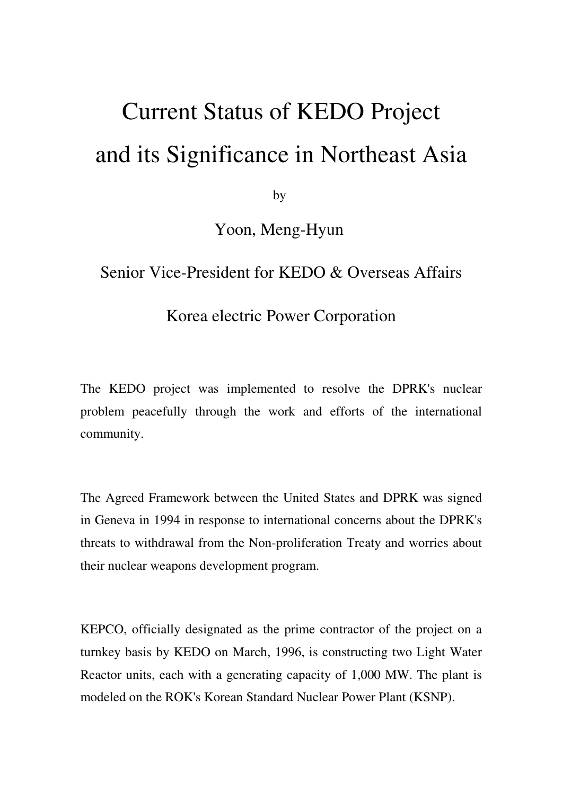## Current Status of KEDO Project and its Significance in Northeast Asia

by

Yoon, Meng-Hyun

## Senior Vice-President for KEDO & Overseas Affairs

## Korea electric Power Corporation

The KEDO project was implemented to resolve the DPRK's nuclear problem peacefully through the work and efforts of the international community.

The Agreed Framework between the United States and DPRK was signed in Geneva in 1994 in response to international concerns about the DPRK's threats to withdrawal from the Non-proliferation Treaty and worries about their nuclear weapons development program.

KEPCO, officially designated as the prime contractor of the project on a turnkey basis by KEDO on March, 1996, is constructing two Light Water Reactor units, each with a generating capacity of 1,000 MW. The plant is modeled on the ROK's Korean Standard Nuclear Power Plant (KSNP).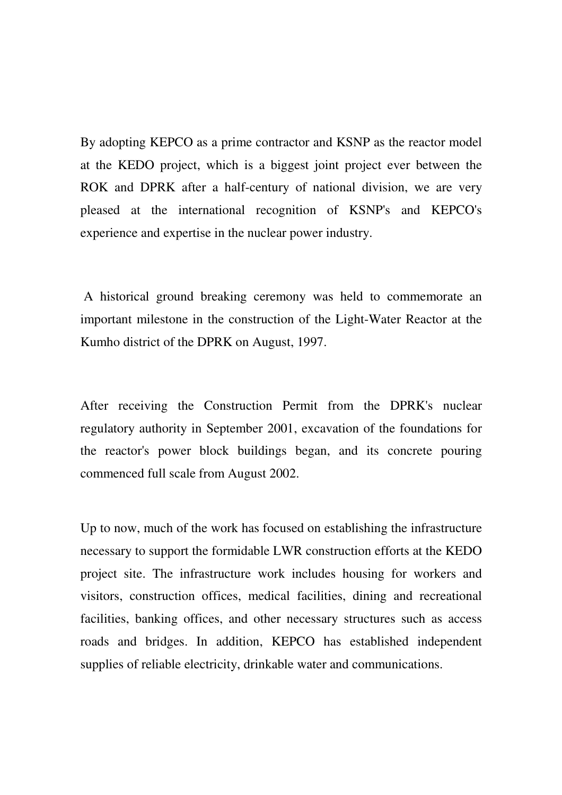By adopting KEPCO as a prime contractor and KSNP as the reactor model at the KEDO project, which is a biggest joint project ever between the ROK and DPRK after a half-century of national division, we are very pleased at the international recognition of KSNP's and KEPCO's experience and expertise in the nuclear power industry.

 A historical ground breaking ceremony was held to commemorate an important milestone in the construction of the Light-Water Reactor at the Kumho district of the DPRK on August, 1997.

After receiving the Construction Permit from the DPRK's nuclear regulatory authority in September 2001, excavation of the foundations for the reactor's power block buildings began, and its concrete pouring commenced full scale from August 2002.

Up to now, much of the work has focused on establishing the infrastructure necessary to support the formidable LWR construction efforts at the KEDO project site. The infrastructure work includes housing for workers and visitors, construction offices, medical facilities, dining and recreational facilities, banking offices, and other necessary structures such as access roads and bridges. In addition, KEPCO has established independent supplies of reliable electricity, drinkable water and communications.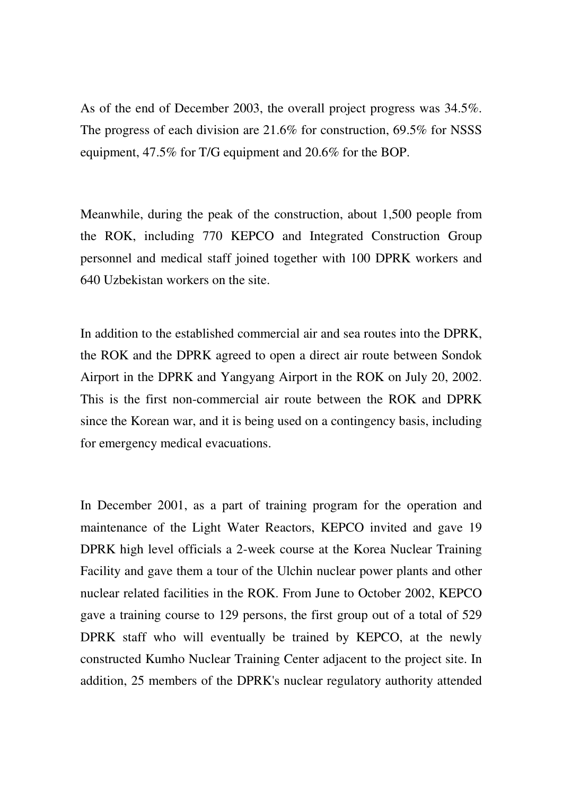As of the end of December 2003, the overall project progress was 34.5%. The progress of each division are 21.6% for construction, 69.5% for NSSS equipment, 47.5% for T/G equipment and 20.6% for the BOP.

Meanwhile, during the peak of the construction, about 1,500 people from the ROK, including 770 KEPCO and Integrated Construction Group personnel and medical staff joined together with 100 DPRK workers and 640 Uzbekistan workers on the site.

In addition to the established commercial air and sea routes into the DPRK, the ROK and the DPRK agreed to open a direct air route between Sondok Airport in the DPRK and Yangyang Airport in the ROK on July 20, 2002. This is the first non-commercial air route between the ROK and DPRK since the Korean war, and it is being used on a contingency basis, including for emergency medical evacuations.

In December 2001, as a part of training program for the operation and maintenance of the Light Water Reactors, KEPCO invited and gave 19 DPRK high level officials a 2-week course at the Korea Nuclear Training Facility and gave them a tour of the Ulchin nuclear power plants and other nuclear related facilities in the ROK. From June to October 2002, KEPCO gave a training course to 129 persons, the first group out of a total of 529 DPRK staff who will eventually be trained by KEPCO, at the newly constructed Kumho Nuclear Training Center adjacent to the project site. In addition, 25 members of the DPRK's nuclear regulatory authority attended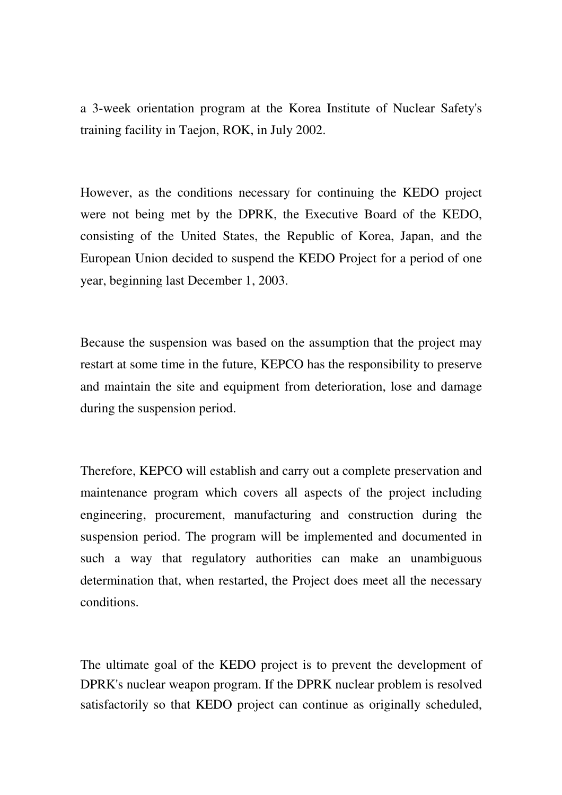a 3-week orientation program at the Korea Institute of Nuclear Safety's training facility in Taejon, ROK, in July 2002.

However, as the conditions necessary for continuing the KEDO project were not being met by the DPRK, the Executive Board of the KEDO, consisting of the United States, the Republic of Korea, Japan, and the European Union decided to suspend the KEDO Project for a period of one year, beginning last December 1, 2003.

Because the suspension was based on the assumption that the project may restart at some time in the future, KEPCO has the responsibility to preserve and maintain the site and equipment from deterioration, lose and damage during the suspension period.

Therefore, KEPCO will establish and carry out a complete preservation and maintenance program which covers all aspects of the project including engineering, procurement, manufacturing and construction during the suspension period. The program will be implemented and documented in such a way that regulatory authorities can make an unambiguous determination that, when restarted, the Project does meet all the necessary conditions.

The ultimate goal of the KEDO project is to prevent the development of DPRK's nuclear weapon program. If the DPRK nuclear problem is resolved satisfactorily so that KEDO project can continue as originally scheduled,